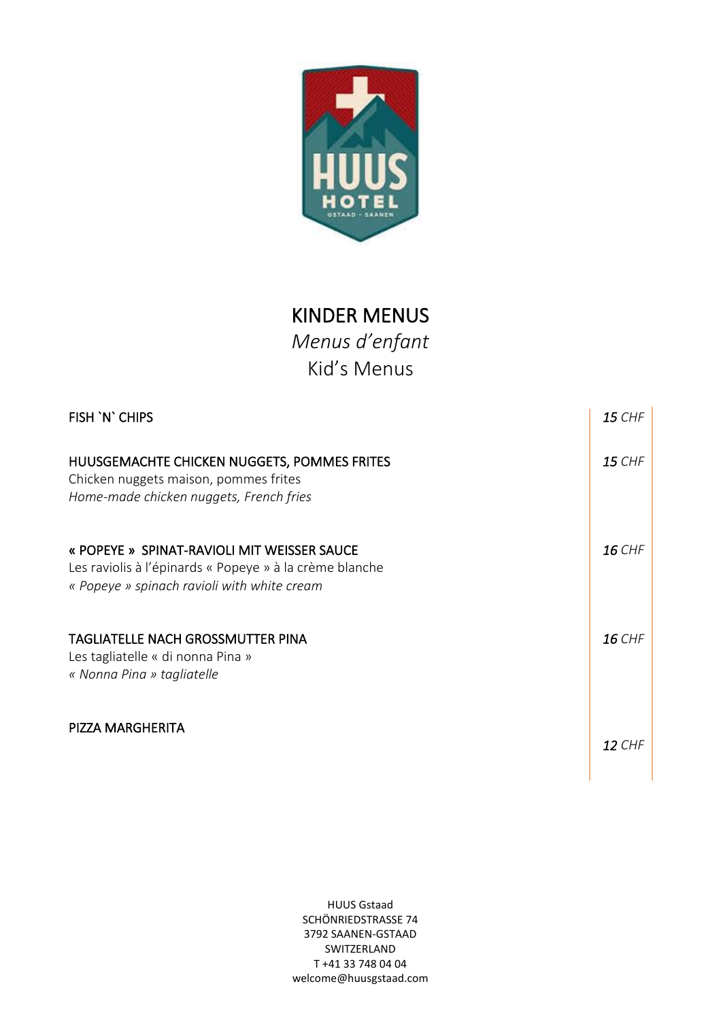

## KINDER MENUS

*Menus d'enfant* Kid's Menus

| FISH 'N' CHIPS                                                                                                                                        | <b>15 CHF</b> |
|-------------------------------------------------------------------------------------------------------------------------------------------------------|---------------|
| HUUSGEMACHTE CHICKEN NUGGETS, POMMES FRITES<br>Chicken nuggets maison, pommes frites<br>Home-made chicken nuggets, French fries                       | <b>15 CHF</b> |
| « POPEYE » SPINAT-RAVIOLI MIT WEISSER SAUCE<br>Les raviolis à l'épinards « Popeye » à la crème blanche<br>« Popeye » spinach ravioli with white cream | <b>16 CHF</b> |
| <b>TAGLIATELLE NACH GROSSMUTTER PINA</b><br>Les tagliatelle « di nonna Pina »<br>« Nonna Pina » tagliatelle                                           | <b>16 CHF</b> |
| PIZZA MARGHERITA                                                                                                                                      | <b>12 CHF</b> |

HUUS Gstaad SCHÖNRIEDSTRASSE 74 3792 SAANEN-GSTAAD SWITZERLAND T +41 33 748 04 04 welcome@huusgstaad.com